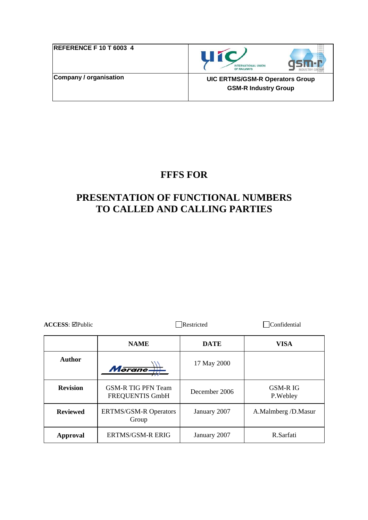| <b>REFERENCE F 10 T 6003 4</b> |  |
|--------------------------------|--|
| Company / organisation         |  |





**UIC ERTMS/GSM-R Operators Group GSM-R Industry Group** 

## **FFFS FOR**

# **PRESENTATION OF FUNCTIONAL NUMBERS TO CALLED AND CALLING PARTIES**

| ACCESS: ⊠Public                                          |                                              | Restricted    | Confidential          |
|----------------------------------------------------------|----------------------------------------------|---------------|-----------------------|
|                                                          | <b>NAME</b>                                  | <b>DATE</b>   | <b>VISA</b>           |
| <b>Author</b>                                            | Morane-                                      | 17 May 2000   |                       |
| <b>Revision</b>                                          | <b>GSM-R TIG PFN Team</b><br>FREQUENTIS GmbH | December 2006 | GSM-R IG<br>P. Webley |
| <b>Reviewed</b><br><b>ERTMS/GSM-R Operators</b><br>Group |                                              | January 2007  | A.Malmberg /D.Masur   |
| <b>Approval</b>                                          | <b>ERTMS/GSM-R ERIG</b>                      | January 2007  | R.Sarfati             |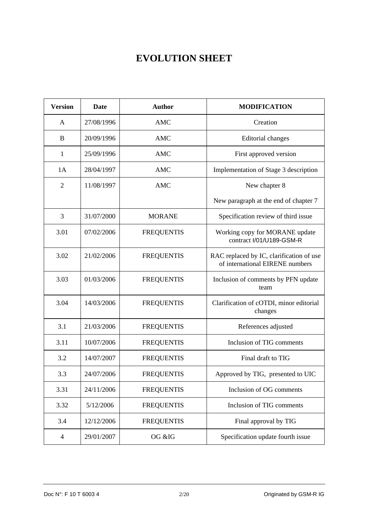# **EVOLUTION SHEET**

| <b>Version</b>           | <b>Date</b> | <b>Author</b>     | <b>MODIFICATION</b>                                                         |  |
|--------------------------|-------------|-------------------|-----------------------------------------------------------------------------|--|
| A                        | 27/08/1996  | <b>AMC</b>        | Creation                                                                    |  |
| B                        | 20/09/1996  | <b>AMC</b>        | <b>Editorial</b> changes                                                    |  |
| 1                        | 25/09/1996  | <b>AMC</b>        | First approved version                                                      |  |
| 1A                       | 28/04/1997  | <b>AMC</b>        | Implementation of Stage 3 description                                       |  |
| $\overline{2}$           | 11/08/1997  | <b>AMC</b>        | New chapter 8                                                               |  |
|                          |             |                   | New paragraph at the end of chapter 7                                       |  |
| 3                        | 31/07/2000  | <b>MORANE</b>     | Specification review of third issue                                         |  |
| 3.01                     | 07/02/2006  | <b>FREQUENTIS</b> | Working copy for MORANE update<br>contract I/01/U189-GSM-R                  |  |
| 3.02                     | 21/02/2006  | <b>FREQUENTIS</b> | RAC replaced by IC, clarification of use<br>of international EIRENE numbers |  |
| 3.03                     | 01/03/2006  | <b>FREQUENTIS</b> | Inclusion of comments by PFN update<br>team                                 |  |
| 3.04                     | 14/03/2006  | <b>FREQUENTIS</b> | Clarification of cOTDI, minor editorial<br>changes                          |  |
| 3.1                      | 21/03/2006  | <b>FREQUENTIS</b> | References adjusted                                                         |  |
| 3.11                     | 10/07/2006  | <b>FREQUENTIS</b> | Inclusion of TIG comments                                                   |  |
| 3.2                      | 14/07/2007  | <b>FREQUENTIS</b> | Final draft to TIG                                                          |  |
| 3.3                      | 24/07/2006  | <b>FREQUENTIS</b> | Approved by TIG, presented to UIC                                           |  |
| 3.31                     | 24/11/2006  | <b>FREQUENTIS</b> | Inclusion of OG comments                                                    |  |
| 3.32                     | 5/12/2006   | <b>FREQUENTIS</b> | Inclusion of TIG comments                                                   |  |
| 3.4                      | 12/12/2006  | <b>FREQUENTIS</b> | Final approval by TIG                                                       |  |
| $\overline{\mathcal{A}}$ | 29/01/2007  | OG &IG            | Specification update fourth issue                                           |  |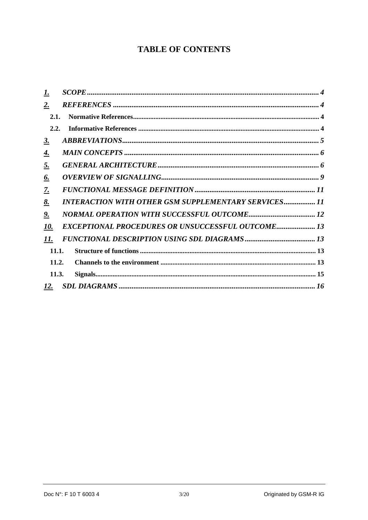## **TABLE OF CONTENTS**

| 1.          |                                                             |  |
|-------------|-------------------------------------------------------------|--|
| $2_{\cdot}$ |                                                             |  |
| 2.1.        |                                                             |  |
| 2.2.        |                                                             |  |
| <u>3.</u>   |                                                             |  |
| <u>4.</u>   |                                                             |  |
| <u>5.</u>   |                                                             |  |
| <u>6.</u>   |                                                             |  |
| <u>Z.</u>   |                                                             |  |
| <u>8.</u>   | <b>INTERACTION WITH OTHER GSM SUPPLEMENTARY SERVICES 11</b> |  |
| <u>9.</u>   |                                                             |  |
| 10.         | EXCEPTIONAL PROCEDURES OR UNSUCCESSFUL OUTCOME 13           |  |
| 11.         |                                                             |  |
| 11.1.       |                                                             |  |
| 11.2.       |                                                             |  |
| 11.3.       |                                                             |  |
| <u>12.</u>  |                                                             |  |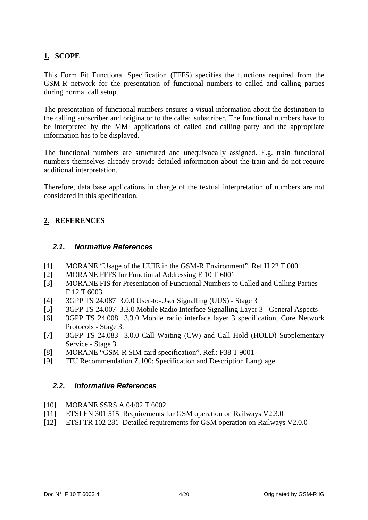#### <span id="page-3-0"></span>**1. SCOPE**

This Form Fit Functional Specification (FFFS) specifies the functions required from the GSM-R network for the presentation of functional numbers to called and calling parties during normal call setup.

The presentation of functional numbers ensures a visual information about the destination to the calling subscriber and originator to the called subscriber. The functional numbers have to be interpreted by the MMI applications of called and calling party and the appropriate information has to be displayed.

The functional numbers are structured and unequivocally assigned. E.g. train functional numbers themselves already provide detailed information about the train and do not require additional interpretation.

Therefore, data base applications in charge of the textual interpretation of numbers are not considered in this specification.

#### **2. REFERENCES**

#### *2.1. Normative References*

- [1] MORANE "Usage of the UUIE in the GSM-R Environment", Ref H 22 T 0001
- [2] MORANE FFFS for Functional Addressing E 10 T 6001
- [3] MORANE FIS for Presentation of Functional Numbers to Called and Calling Parties F 12 T 6003
- [4] 3GPP TS 24.087 3.0.0 User-to-User Signalling (UUS) Stage 3
- [5] 3GPP TS 24.007 3.3.0 Mobile Radio Interface Signalling Layer 3 General Aspects
- [6] 3GPP TS 24.008 3.3.0 Mobile radio interface layer 3 specification, Core Network Protocols - Stage 3.
- [7] 3GPP TS 24.083 3.0.0 Call Waiting (CW) and Call Hold (HOLD) Supplementary Service - Stage 3
- [8] MORANE "GSM-R SIM card specification", Ref.: P38 T 9001
- [9] ITU Recommendation Z.100: Specification and Description Language

#### *2.2. Informative References*

- [10] MORANE SSRS A 04/02 T 6002
- [11] ETSI EN 301 515 Requirements for GSM operation on Railways V2.3.0
- [12] ETSI TR 102 281 Detailed requirements for GSM operation on Railways V2.0.0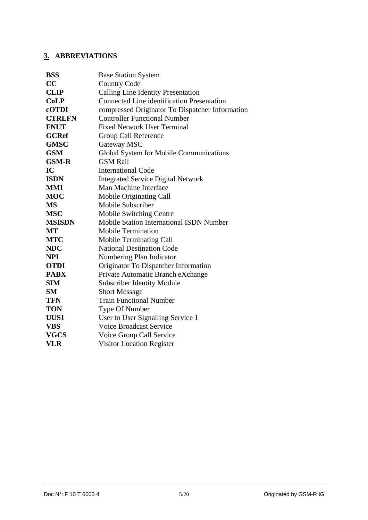## <span id="page-4-0"></span>**3. ABBREVIATIONS**

| <b>BSS</b>    | <b>Base Station System</b>                        |
|---------------|---------------------------------------------------|
| CC            | <b>Country Code</b>                               |
| <b>CLIP</b>   | <b>Calling Line Identity Presentation</b>         |
| CoLP          | <b>Connected Line identification Presentation</b> |
| cOTDI         | compressed Originator To Dispatcher Information   |
| <b>CTRLFN</b> | <b>Controller Functional Number</b>               |
| <b>FNUT</b>   | <b>Fixed Network User Terminal</b>                |
| <b>GCRef</b>  | Group Call Reference                              |
| <b>GMSC</b>   | Gateway MSC                                       |
| <b>GSM</b>    | Global System for Mobile Communications           |
| <b>GSM-R</b>  | <b>GSM Rail</b>                                   |
| IC            | <b>International Code</b>                         |
| <b>ISDN</b>   | <b>Integrated Service Digital Network</b>         |
| <b>MMI</b>    | Man Machine Interface                             |
| <b>MOC</b>    | Mobile Originating Call                           |
| <b>MS</b>     | Mobile Subscriber                                 |
| <b>MSC</b>    | Mobile Switching Centre                           |
| <b>MSISDN</b> | <b>Mobile Station International ISDN Number</b>   |
| MT            | <b>Mobile Termination</b>                         |
| <b>MTC</b>    | <b>Mobile Terminating Call</b>                    |
| <b>NDC</b>    | <b>National Destination Code</b>                  |
| <b>NPI</b>    | Numbering Plan Indicator                          |
| <b>OTDI</b>   | Originator To Dispatcher Information              |
| <b>PABX</b>   | Private Automatic Branch eXchange                 |
| <b>SIM</b>    | <b>Subscriber Identity Module</b>                 |
| <b>SM</b>     | <b>Short Message</b>                              |
| <b>TFN</b>    | <b>Train Functional Number</b>                    |
| <b>TON</b>    | Type Of Number                                    |
| UUS1          | User to User Signalling Service 1                 |
| <b>VBS</b>    | <b>Voice Broadcast Service</b>                    |
| <b>VGCS</b>   | Voice Group Call Service                          |
| <b>VLR</b>    | <b>Visitor Location Register</b>                  |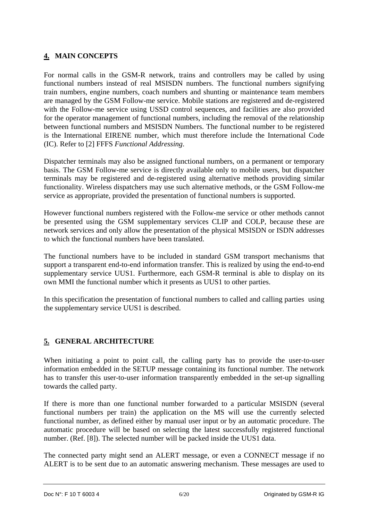#### <span id="page-5-0"></span>**4. MAIN CONCEPTS**

For normal calls in the GSM-R network, trains and controllers may be called by using functional numbers instead of real MSISDN numbers. The functional numbers signifying train numbers, engine numbers, coach numbers and shunting or maintenance team members are managed by the GSM Follow-me service. Mobile stations are registered and de-registered with the Follow-me service using USSD control sequences, and facilities are also provided for the operator management of functional numbers, including the removal of the relationship between functional numbers and MSISDN Numbers. The functional number to be registered is the International EIRENE number, which must therefore include the International Code (IC). Refer to [2] FFFS *Functional Addressing*.

Dispatcher terminals may also be assigned functional numbers, on a permanent or temporary basis. The GSM Follow-me service is directly available only to mobile users, but dispatcher terminals may be registered and de-registered using alternative methods providing similar functionality. Wireless dispatchers may use such alternative methods, or the GSM Follow-me service as appropriate, provided the presentation of functional numbers is supported.

However functional numbers registered with the Follow-me service or other methods cannot be presented using the GSM supplementary services CLIP and COLP, because these are network services and only allow the presentation of the physical MSISDN or ISDN addresses to which the functional numbers have been translated.

The functional numbers have to be included in standard GSM transport mechanisms that support a transparent end-to-end information transfer. This is realized by using the end-to-end supplementary service UUS1. Furthermore, each GSM-R terminal is able to display on its own MMI the functional number which it presents as UUS1 to other parties.

In this specification the presentation of functional numbers to called and calling parties using the supplementary service UUS1 is described.

#### **5. GENERAL ARCHITECTURE**

When initiating a point to point call, the calling party has to provide the user-to-user information embedded in the SETUP message containing its functional number. The network has to transfer this user-to-user information transparently embedded in the set-up signalling towards the called party.

If there is more than one functional number forwarded to a particular MSISDN (several functional numbers per train) the application on the MS will use the currently selected functional number, as defined either by manual user input or by an automatic procedure. The automatic procedure will be based on selecting the latest successfully registered functional number. (Ref. [8]). The selected number will be packed inside the UUS1 data.

The connected party might send an ALERT message, or even a CONNECT message if no ALERT is to be sent due to an automatic answering mechanism. These messages are used to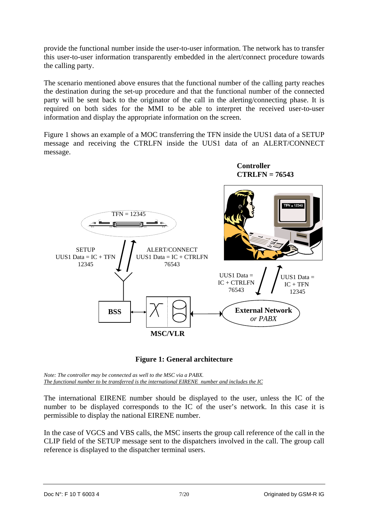provide the functional number inside the user-to-user information. The network has to transfer this user-to-user information transparently embedded in the alert/connect procedure towards the calling party.

The scenario mentioned above ensures that the functional number of the calling party reaches the destination during the set-up procedure and that the functional number of the connected party will be sent back to the originator of the call in the alerting/connecting phase. It is required on both sides for the MMI to be able to interpret the received user-to-user information and display the appropriate information on the screen.

Figure 1 shows an example of a MOC transferring the TFN inside the UUS1 data of a SETUP message and receiving the CTRLFN inside the UUS1 data of an ALERT/CONNECT message.



**Figure 1: General architecture** 

*Note: The controller may be connected as well to the MSC via a PABX. The functional number to be transferred is the international EIRENE number and includes the IC*

The international EIRENE number should be displayed to the user, unless the IC of the number to be displayed corresponds to the IC of the user's network. In this case it is permissible to display the national EIRENE number.

In the case of VGCS and VBS calls, the MSC inserts the group call reference of the call in the CLIP field of the SETUP message sent to the dispatchers involved in the call. The group call reference is displayed to the dispatcher terminal users.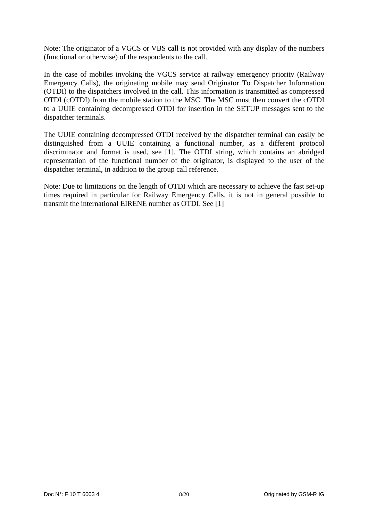Note: The originator of a VGCS or VBS call is not provided with any display of the numbers (functional or otherwise) of the respondents to the call.

In the case of mobiles invoking the VGCS service at railway emergency priority (Railway Emergency Calls), the originating mobile may send Originator To Dispatcher Information (OTDI) to the dispatchers involved in the call. This information is transmitted as compressed OTDI (cOTDI) from the mobile station to the MSC. The MSC must then convert the cOTDI to a UUIE containing decompressed OTDI for insertion in the SETUP messages sent to the dispatcher terminals.

The UUIE containing decompressed OTDI received by the dispatcher terminal can easily be distinguished from a UUIE containing a functional number, as a different protocol discriminator and format is used, see [1]. The OTDI string, which contains an abridged representation of the functional number of the originator, is displayed to the user of the dispatcher terminal, in addition to the group call reference.

Note: Due to limitations on the length of OTDI which are necessary to achieve the fast set-up times required in particular for Railway Emergency Calls, it is not in general possible to transmit the international EIRENE number as OTDI. See [1]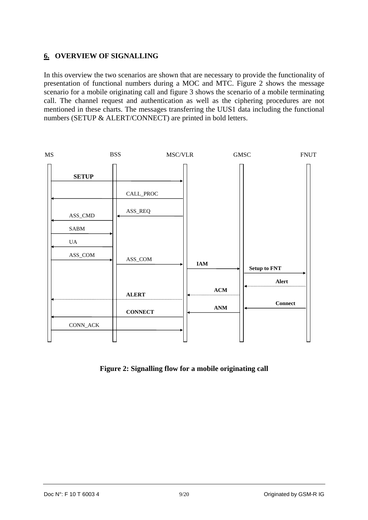#### <span id="page-8-0"></span>**6. OVERVIEW OF SIGNALLING**

In this overview the two scenarios are shown that are necessary to provide the functionality of presentation of functional numbers during a MOC and MTC. Figure 2 shows the message scenario for a mobile originating call and figure 3 shows the scenario of a mobile terminating call. The channel request and authentication as well as the ciphering procedures are not mentioned in these charts. The messages transferring the UUS1 data including the functional numbers (SETUP & ALERT/CONNECT) are printed in bold letters.



**Figure 2: Signalling flow for a mobile originating call**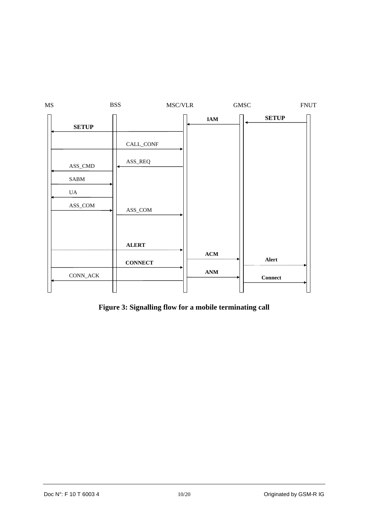| MS |                           | <b>BSS</b>     | MSC/VLR   |                | ${\rm GMSC}$ |              | ${\rm FNUT}$ |
|----|---------------------------|----------------|-----------|----------------|--------------|--------------|--------------|
|    | <b>SETUP</b>              |                |           | $\mathbf{IAM}$ |              | <b>SETUP</b> |              |
|    |                           |                | CALL_CONF |                |              |              |              |
|    | ASS_CMD                   | ASS_REQ        |           |                |              |              |              |
|    | ${\bf SABM}$              |                |           |                |              |              |              |
|    | UA                        |                |           |                |              |              |              |
|    | ASS_COM                   | ASS_COM        |           |                |              |              |              |
|    |                           | <b>ALERT</b>   |           |                |              |              |              |
|    |                           | <b>CONNECT</b> |           | $\bf ACM$      |              | Alert        |              |
|    | $\text{CONN}\_\text{ACK}$ |                |           | $\mathbf{ANM}$ |              | $Connect$    |              |
|    |                           |                |           |                |              |              |              |

**Figure 3: Signalling flow for a mobile terminating call**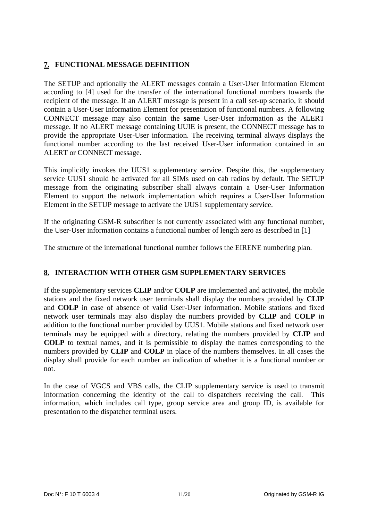#### <span id="page-10-0"></span>**7. FUNCTIONAL MESSAGE DEFINITION**

The SETUP and optionally the ALERT messages contain a User-User Information Element according to [4] used for the transfer of the international functional numbers towards the recipient of the message. If an ALERT message is present in a call set-up scenario, it should contain a User-User Information Element for presentation of functional numbers. A following CONNECT message may also contain the **same** User-User information as the ALERT message. If no ALERT message containing UUIE is present, the CONNECT message has to provide the appropriate User-User information. The receiving terminal always displays the functional number according to the last received User-User information contained in an ALERT or CONNECT message.

This implicitly invokes the UUS1 supplementary service. Despite this, the supplementary service UUS1 should be activated for all SIMs used on cab radios by default. The SETUP message from the originating subscriber shall always contain a User-User Information Element to support the network implementation which requires a User-User Information Element in the SETUP message to activate the UUS1 supplementary service.

If the originating GSM-R subscriber is not currently associated with any functional number, the User-User information contains a functional number of length zero as described in [1]

The structure of the international functional number follows the EIRENE numbering plan.

#### **8. INTERACTION WITH OTHER GSM SUPPLEMENTARY SERVICES**

If the supplementary services **CLIP** and/or **COLP** are implemented and activated, the mobile stations and the fixed network user terminals shall display the numbers provided by **CLIP** and **COLP** in case of absence of valid User-User information. Mobile stations and fixed network user terminals may also display the numbers provided by **CLIP** and **COLP** in addition to the functional number provided by UUS1. Mobile stations and fixed network user terminals may be equipped with a directory, relating the numbers provided by **CLIP** and **COLP** to textual names, and it is permissible to display the names corresponding to the numbers provided by **CLIP** and **COLP** in place of the numbers themselves. In all cases the display shall provide for each number an indication of whether it is a functional number or not.

In the case of VGCS and VBS calls, the CLIP supplementary service is used to transmit information concerning the identity of the call to dispatchers receiving the call. This information, which includes call type, group service area and group ID, is available for presentation to the dispatcher terminal users.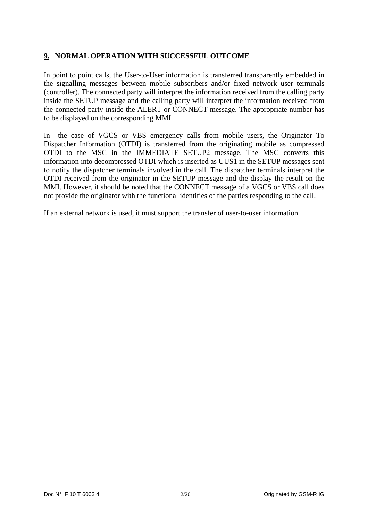#### <span id="page-11-0"></span>**9. NORMAL OPERATION WITH SUCCESSFUL OUTCOME**

In point to point calls, the User-to-User information is transferred transparently embedded in the signalling messages between mobile subscribers and/or fixed network user terminals (controller). The connected party will interpret the information received from the calling party inside the SETUP message and the calling party will interpret the information received from the connected party inside the ALERT or CONNECT message. The appropriate number has to be displayed on the corresponding MMI.

In the case of VGCS or VBS emergency calls from mobile users, the Originator To Dispatcher Information (OTDI) is transferred from the originating mobile as compressed OTDI to the MSC in the IMMEDIATE SETUP2 message. The MSC converts this information into decompressed OTDI which is inserted as UUS1 in the SETUP messages sent to notify the dispatcher terminals involved in the call. The dispatcher terminals interpret the OTDI received from the originator in the SETUP message and the display the result on the MMI. However, it should be noted that the CONNECT message of a VGCS or VBS call does not provide the originator with the functional identities of the parties responding to the call.

If an external network is used, it must support the transfer of user-to-user information.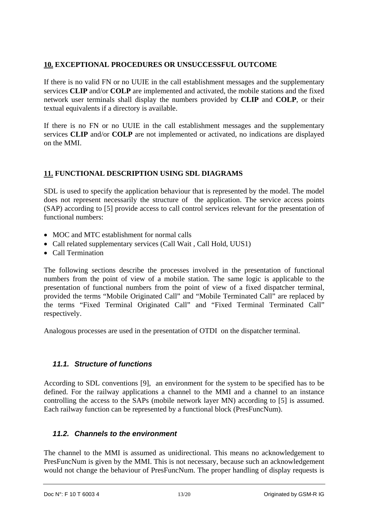#### <span id="page-12-0"></span>**10. EXCEPTIONAL PROCEDURES OR UNSUCCESSFUL OUTCOME**

If there is no valid FN or no UUIE in the call establishment messages and the supplementary services **CLIP** and/or **COLP** are implemented and activated, the mobile stations and the fixed network user terminals shall display the numbers provided by **CLIP** and **COLP**, or their textual equivalents if a directory is available.

If there is no FN or no UUIE in the call establishment messages and the supplementary services **CLIP** and/or **COLP** are not implemented or activated, no indications are displayed on the MMI.

#### **11. FUNCTIONAL DESCRIPTION USING SDL DIAGRAMS**

SDL is used to specify the application behaviour that is represented by the model. The model does not represent necessarily the structure of the application. The service access points (SAP) according to [5] provide access to call control services relevant for the presentation of functional numbers:

- MOC and MTC establishment for normal calls
- Call related supplementary services (Call Wait, Call Hold, UUS1)
- Call Termination

The following sections describe the processes involved in the presentation of functional numbers from the point of view of a mobile station. The same logic is applicable to the presentation of functional numbers from the point of view of a fixed dispatcher terminal, provided the terms "Mobile Originated Call" and "Mobile Terminated Call" are replaced by the terms "Fixed Terminal Originated Call" and "Fixed Terminal Terminated Call" respectively.

Analogous processes are used in the presentation of OTDI on the dispatcher terminal.

#### *11.1. Structure of functions*

According to SDL conventions [9], an environment for the system to be specified has to be defined. For the railway applications a channel to the MMI and a channel to an instance controlling the access to the SAPs (mobile network layer MN) according to [5] is assumed. Each railway function can be represented by a functional block (PresFuncNum).

#### *11.2. Channels to the environment*

The channel to the MMI is assumed as unidirectional. This means no acknowledgement to PresFuncNum is given by the MMI. This is not necessary, because such an acknowledgement would not change the behaviour of PresFuncNum. The proper handling of display requests is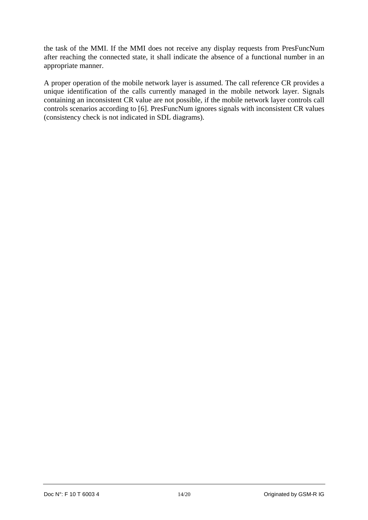the task of the MMI. If the MMI does not receive any display requests from PresFuncNum after reaching the connected state, it shall indicate the absence of a functional number in an appropriate manner.

A proper operation of the mobile network layer is assumed. The call reference CR provides a unique identification of the calls currently managed in the mobile network layer. Signals containing an inconsistent CR value are not possible, if the mobile network layer controls call controls scenarios according to [6]. PresFuncNum ignores signals with inconsistent CR values (consistency check is not indicated in SDL diagrams).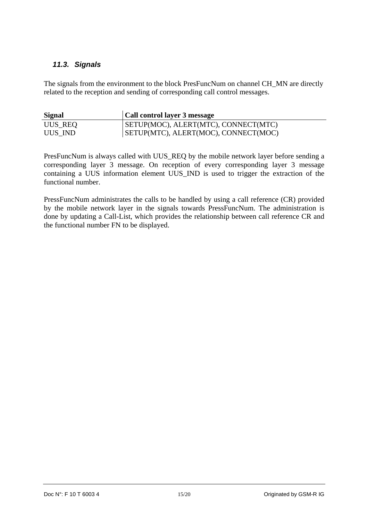#### <span id="page-14-0"></span>*11.3. Signals*

The signals from the environment to the block PresFuncNum on channel CH\_MN are directly related to the reception and sending of corresponding call control messages.

| <b>Signal</b> | <b>Call control layer 3 message</b>  |
|---------------|--------------------------------------|
| UUS_REQ       | SETUP(MOC), ALERT(MTC), CONNECT(MTC) |
| UUS IND       | SETUP(MTC), ALERT(MOC), CONNECT(MOC) |

PresFuncNum is always called with UUS\_REQ by the mobile network layer before sending a corresponding layer 3 message. On reception of every corresponding layer 3 message containing a UUS information element UUS\_IND is used to trigger the extraction of the functional number.

PressFuncNum administrates the calls to be handled by using a call reference (CR) provided by the mobile network layer in the signals towards PressFuncNum. The administration is done by updating a Call-List, which provides the relationship between call reference CR and the functional number FN to be displayed.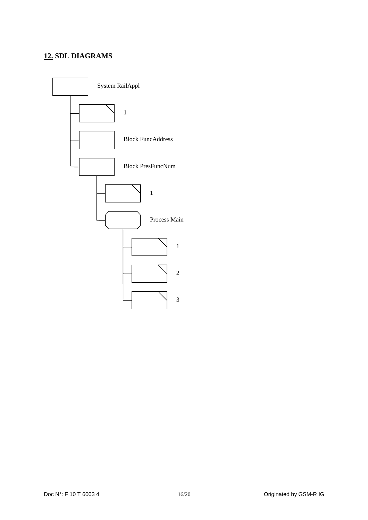## <span id="page-15-0"></span>**12. SDL DIAGRAMS**

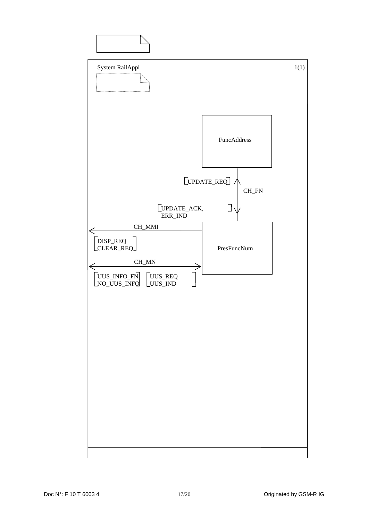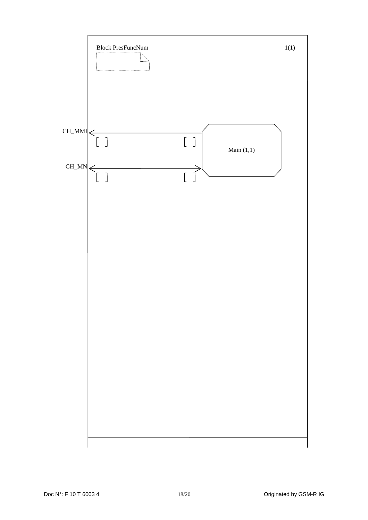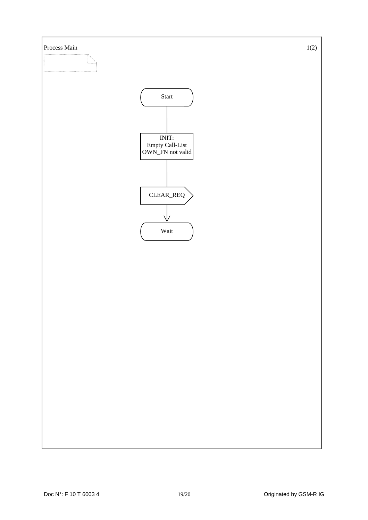